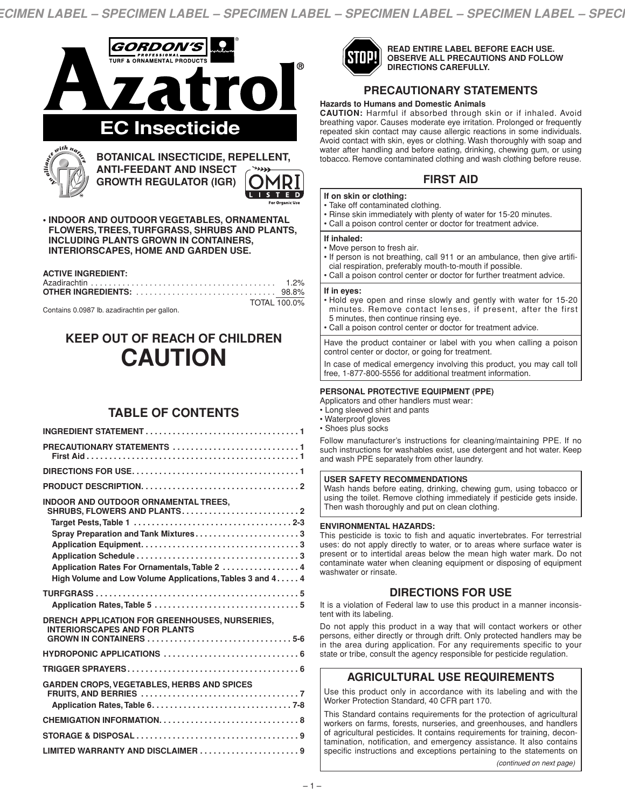*ECIMEN LABEL – SPECIMEN LABEL – SPECIMEN LABEL – SPECIMEN LABEL – SPECIMEN LABEL – SPECI*



| <b>INDOOR AND OUTDOOR ORNAMENTAL TREES,</b><br>Spray Preparation and Tank Mixtures3<br>Application Rates For Ornamentals, Table 2  4<br>High Volume and Low Volume Applications, Tables 3 and 4 4 |
|---------------------------------------------------------------------------------------------------------------------------------------------------------------------------------------------------|
|                                                                                                                                                                                                   |
| DRENCH APPLICATION FOR GREENHOUSES, NURSERIES,<br><b>INTERIORSCAPES AND FOR PLANTS</b>                                                                                                            |
|                                                                                                                                                                                                   |
|                                                                                                                                                                                                   |
| <b>GARDEN CROPS, VEGETABLES, HERBS AND SPICES</b>                                                                                                                                                 |
|                                                                                                                                                                                                   |
|                                                                                                                                                                                                   |
| LIMITED WARRANTY AND DISCLAIMER 9                                                                                                                                                                 |



**READ ENTIRE LABEL BEFORE EACH USE. OBSERVE ALL PRECAUTIONS AND FOLLOW DIRECTIONS CAREFULLY.**

# **PRECAUTIONARY STATEMENTS**

# **Hazards to Humans and Domestic Animals**

**CAUTION:** Harmful if absorbed through skin or if inhaled. Avoid breathing vapor. Causes moderate eye irritation. Prolonged or frequently repeated skin contact may cause allergic reactions in some individuals. Avoid contact with skin, eyes or clothing. Wash thoroughly with soap and water after handling and before eating, drinking, chewing gum, or using tobacco. Remove contaminated clothing and wash clothing before reuse.

# **FIRST AID**

- **If on skin or clothing:**
- Take off contaminated clothing.
- Rinse skin immediately with plenty of water for 15-20 minutes.
- Call a poison control center or doctor for treatment advice.

### **If inhaled:**

- Move person to fresh air.
- If person is not breathing, call 911 or an ambulance, then give artifi-
- cial respiration, preferably mouth-to-mouth if possible. • Call a poison control center or doctor for further treatment advice.
- 

# **If in eyes:**

- Hold eye open and rinse slowly and gently with water for 15-20 minutes. Remove contact lenses, if present, after the first 5 minutes, then continue rinsing eye.
- Call a poison control center or doctor for treatment advice.

Have the product container or label with you when calling a poison control center or doctor, or going for treatment.

In case of medical emergency involving this product, you may call toll free, 1-877-800-5556 for additional treatment information.

# **PERSONAL PROTECTIVE EQUIPMENT (PPE)**

- Applicators and other handlers must wear:
- Long sleeved shirt and pants
- Waterproof gloves • Shoes plus socks
- 

Follow manufacturer's instructions for cleaning/maintaining PPE. If no such instructions for washables exist, use detergent and hot water. Keep and wash PPE separately from other laundry.

# **USER SAFETY RECOMMENDATIONS**

Wash hands before eating, drinking, chewing gum, using tobacco or using the toilet. Remove clothing immediately if pesticide gets inside. Then wash thoroughly and put on clean clothing.

# **ENVIRONMENTAL HAZARDS:**

This pesticide is toxic to fish and aquatic invertebrates. For terrestrial uses: do not apply directly to water, or to areas where surface water is present or to intertidal areas below the mean high water mark. Do not contaminate water when cleaning equipment or disposing of equipment washwater or rinsate.

# **DIRECTIONS FOR USE**

It is a violation of Federal law to use this product in a manner inconsistent with its labeling.

Do not apply this product in a way that will contact workers or other persons, either directly or through drift. Only protected handlers may be in the area during application. For any requirements specific to your state or tribe, consult the agency responsible for pesticide regulation.

# **AGRICULTURAL USE REQUIREMENTS**

Use this product only in accordance with its labeling and with the Worker Protection Standard, 40 CFR part 170.

This Standard contains requirements for the protection of agricultural workers on farms, forests, nurseries, and greenhouses, and handlers of agricultural pesticides. It contains requirements for training, decontamination, notification, and emergency assistance. It also contains specific instructions and exceptions pertaining to the statements on

*(continued on next page)*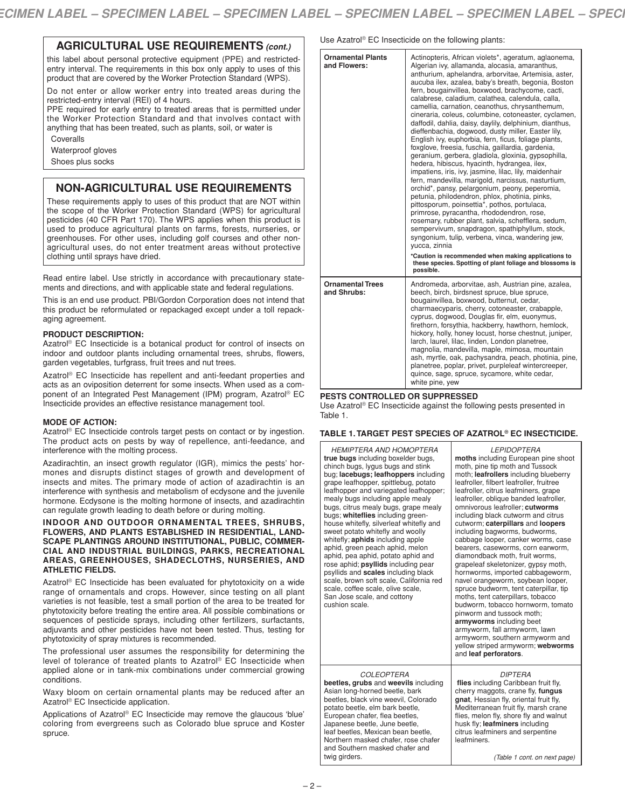# **AGRICULTURAL USE REQUIREMENTS** *(cont.)*

this label about personal protective equipment (PPE) and restrictedentry interval. The requirements in this box only apply to uses of this product that are covered by the Worker Protection Standard (WPS).

Do not enter or allow worker entry into treated areas during the restricted-entry interval (REI) of 4 hours.

PPE required for early entry to treated areas that is permitted under the Worker Protection Standard and that involves contact with anything that has been treated, such as plants, soil, or water is

Coveralls

Waterproof gloves

Shoes plus socks

# **NON-AGRICULTURAL USE REQUIREMENTS**

These requirements apply to uses of this product that are NOT within the scope of the Worker Protection Standard (WPS) for agricultural pesticides (40 CFR Part 170). The WPS applies when this product is used to produce agricultural plants on farms, forests, nurseries, or greenhouses. For other uses, including golf courses and other nonagricultural uses, do not enter treatment areas without protective clothing until sprays have dried.

Read entire label. Use strictly in accordance with precautionary statements and directions, and with applicable state and federal regulations.

This is an end use product. PBI/Gordon Corporation does not intend that this product be reformulated or repackaged except under a toll repackaging agreement.

# **PRODUCT DESCRIPTION:**

Azatrol ® EC Insecticide is a botanical product for control of insects on indoor and outdoor plants including ornamental trees, shrubs, flowers, garden vegetables, turfgrass, fruit trees and nut trees.

Azatrol ® EC Insecticide has repellent and anti-feedant properties and acts as an oviposition deterrent for some insects. When used as a component of an Integrated Pest Management (IPM) program, Azatrol ® EC Insecticide provides an effective resistance management tool.

# **MODE OF ACTION:**

Azatrol<sup>®</sup> EC Insecticide controls target pests on contact or by ingestion. The product acts on pests by way of repellence, anti-feedance, and interference with the molting process.

Azadirachtin, an insect growth regulator (IGR), mimics the pests' hormones and disrupts distinct stages of growth and development of insects and mites. The primary mode of action of azadirachtin is an interference with synthesis and metabolism of ecdysone and the juvenile hormone. Ecdysone is the molting hormone of insects, and azadirachtin can regulate growth leading to death before or during molting.

**INDOOR AND OUTDOOR ORNAMENTAL TREES, SHRUBS, FLOWERS, AND PLANTS ESTABLISHED IN RESIDENTIAL, LAND-SCAPE PLANTINGS AROUND INSTITUTIONAL, PUBLIC, COMMER-CIAL AND INDUSTRIAL BUILDINGS, PARKS, RECREATIONAL AREAS, GREENHOUSES, SHADECLOTHS, NURSERIES, AND ATHLETIC FIELDS.**

Azatrol ® EC Insecticide has been evaluated for phytotoxicity on a wide range of ornamentals and crops. However, since testing on all plant varieties is not feasible, test a small portion of the area to be treated for phytotoxicity before treating the entire area. All possible combinations or sequences of pesticide sprays, including other fertilizers, surfactants, adjuvants and other pesticides have not been tested. Thus, testing for phytotoxicity of spray mixtures is recommended.

The professional user assumes the responsibility for determining the level of tolerance of treated plants to Azatrol ® EC Insecticide when applied alone or in tank-mix combinations under commercial growing conditions.

Waxy bloom on certain ornamental plants may be reduced after an Azatrol ® EC Insecticide application.

Applications of Azatrol ® EC Insecticide may remove the glaucous 'blue' coloring from evergreens such as Colorado blue spruce and Koster spruce.

Use Azatrol ® EC Insecticide on the following plants:

| <b>Ornamental Plants</b><br>and Flowers: | Actinopteris, African violets*, ageratum, aglaonema,<br>Algerian ivy, allamanda, alocasia, amaranthus,<br>anthurium, aphelandra, arborvitae, Artemisia, aster,<br>aucuba ilex, azalea, baby's breath, begonia, Boston<br>fern, bougainvillea, boxwood, brachycome, cacti,<br>calabrese, caladium, calathea, calendula, calla,<br>camellia, carnation, ceanothus, chrysanthemum,<br>cineraria, coleus, columbine, cotoneaster, cyclamen,<br>daffodil, dahlia, daisy, daylily, delphinium, dianthus,<br>dieffenbachia, dogwood, dusty miller, Easter lily,<br>English ivy, euphorbia, fern, ficus, foliage plants,<br>foxglove, freesia, fuschia, gaillardia, gardenia,<br>geranium, gerbera, gladiola, gloxinia, gypsophilla,<br>hedera, hibiscus, hyacinth, hydrangea, ilex,<br>impatiens, iris, ivy, jasmine, lilac, lily, maidenhair<br>fern, mandevilla, marigold, narcissus, nasturtium,<br>orchid*, pansy, pelargonium, peony, peperomia,<br>petunia, philodendron, phlox, photinia, pinks,<br>pittosporum, poinsettia*, pothos, portulaca,<br>primrose, pyracantha, rhododendron, rose,<br>rosemary, rubber plant, salvia, schefflera, sedum,<br>sempervivum, snapdragon, spathiphyllum, stock,<br>syngonium, tulip, verbena, vinca, wandering jew,<br>yucca, zinnia<br>*Caution is recommended when making applications to |
|------------------------------------------|-----------------------------------------------------------------------------------------------------------------------------------------------------------------------------------------------------------------------------------------------------------------------------------------------------------------------------------------------------------------------------------------------------------------------------------------------------------------------------------------------------------------------------------------------------------------------------------------------------------------------------------------------------------------------------------------------------------------------------------------------------------------------------------------------------------------------------------------------------------------------------------------------------------------------------------------------------------------------------------------------------------------------------------------------------------------------------------------------------------------------------------------------------------------------------------------------------------------------------------------------------------------------------------------------------------------------------------|
|                                          | these species. Spotting of plant foliage and blossoms is<br>possible.                                                                                                                                                                                                                                                                                                                                                                                                                                                                                                                                                                                                                                                                                                                                                                                                                                                                                                                                                                                                                                                                                                                                                                                                                                                             |
| <b>Ornamental Trees</b><br>and Shrubs:   | Andromeda, arborvitae, ash, Austrian pine, azalea,<br>beech, birch, birdsnest spruce, blue spruce,<br>bougainvillea, boxwood, butternut, cedar,<br>charmaecyparis, cherry, cotoneaster, crabapple,<br>cyprus, dogwood, Douglas fir, elm, euonymus,<br>firethorn, forsythia, hackberry, hawthorn, hemlock,<br>hickory, holly, honey locust, horse chestnut, juniper,<br>larch, laurel, lilac, linden, London planetree,<br>magnolia, mandevilla, maple, mimosa, mountain<br>ash, myrtle, oak, pachysandra, peach, photinia, pine,<br>planetree, poplar, privet, purpleleaf wintercreeper,<br>quince, sage, spruce, sycamore, white cedar,<br>white pine, yew                                                                                                                                                                                                                                                                                                                                                                                                                                                                                                                                                                                                                                                                       |

# **PESTS CONTROLLED OR SUPPRESSED**

Use Azatrol<sup>®</sup> EC Insecticide against the following pests presented in Table 1.

### **TABLE 1.TARGET PEST SPECIES OF AZATROL® EC INSECTICIDE.**

| <b>HEMIPTERA AND HOMOPTERA</b><br>true bugs including boxelder bugs,<br>chinch bugs, lygus bugs and stink<br>bug: lacebugs: leafhoppers including<br>grape leafhopper, spittlebug, potato<br>leafhopper and variegated leafhopper;<br>mealy bugs including apple mealy<br>bugs, citrus mealy bugs, grape mealy<br>bugs; whiteflies including green-<br>house whitefly, silverleaf whitefly and<br>sweet potato whitefly and woolly<br>whitefly; aphids including apple<br>aphid, green peach aphid, melon<br>aphid, pea aphid, potato aphid and<br>rose aphid; psyllids including pear<br>psyllids and scales including black<br>scale, brown soft scale, California red<br>scale, coffee scale, olive scale,<br>San Jose scale, and cottony<br>cushion scale. | <b>LEPIDOPTERA</b><br>moths including European pine shoot<br>moth, pine tip moth and Tussock<br>moth; leafrollers including blueberry<br>leafroller, filbert leafroller, fruitree<br>leafroller, citrus leafminers, grape<br>leafroller, oblique banded leafroller,<br>omnivorous leafroller; cutworms<br>including black cutworm and citrus<br>cutworm; caterpillars and loopers<br>including bagworms, budworms,<br>cabbage looper, canker worms, case<br>bearers, caseworms, corn earworm,<br>diamondback moth, fruit worms,<br>grapeleaf skeletonizer, gypsy moth,<br>hornworms, imported cabbageworm,<br>navel orangeworm, soybean looper,<br>spruce budworm, tent caterpillar, tip<br>moths, tent caterpillars, tobacco<br>budworm, tobacco hornworm, tomato<br>pinworm and tussock moth;<br>armyworms including beet<br>armyworm, fall armyworm, lawn<br>armyworm, southern armyworm and<br>yellow striped armyworm; webworms<br>and leaf perforators. |
|----------------------------------------------------------------------------------------------------------------------------------------------------------------------------------------------------------------------------------------------------------------------------------------------------------------------------------------------------------------------------------------------------------------------------------------------------------------------------------------------------------------------------------------------------------------------------------------------------------------------------------------------------------------------------------------------------------------------------------------------------------------|---------------------------------------------------------------------------------------------------------------------------------------------------------------------------------------------------------------------------------------------------------------------------------------------------------------------------------------------------------------------------------------------------------------------------------------------------------------------------------------------------------------------------------------------------------------------------------------------------------------------------------------------------------------------------------------------------------------------------------------------------------------------------------------------------------------------------------------------------------------------------------------------------------------------------------------------------------------|
| <b>COLEOPTERA</b><br>beetles, grubs and weevils including<br>Asian long-horned beetle, bark<br>beetles, black vine weevil, Colorado<br>potato beetle, elm bark beetle,<br>European chafer, flea beetles,<br>Japanese beetle, June beetle,<br>leaf beetles, Mexican bean beetle,<br>Northern masked chafer, rose chafer<br>and Southern masked chafer and<br>twig girders.                                                                                                                                                                                                                                                                                                                                                                                      | <b>DIPTERA</b><br>flies including Caribbean fruit fly.<br>cherry maggots, crane fly, fungus<br>gnat, Hessian fly, oriental fruit fly,<br>Mediterranean fruit fly, marsh crane<br>flies, melon fly, shore fly and walnut<br>husk fly; leafminers including<br>citrus leafminers and serpentine<br>leafminers.<br>(Table 1 cont. on next page)                                                                                                                                                                                                                                                                                                                                                                                                                                                                                                                                                                                                                  |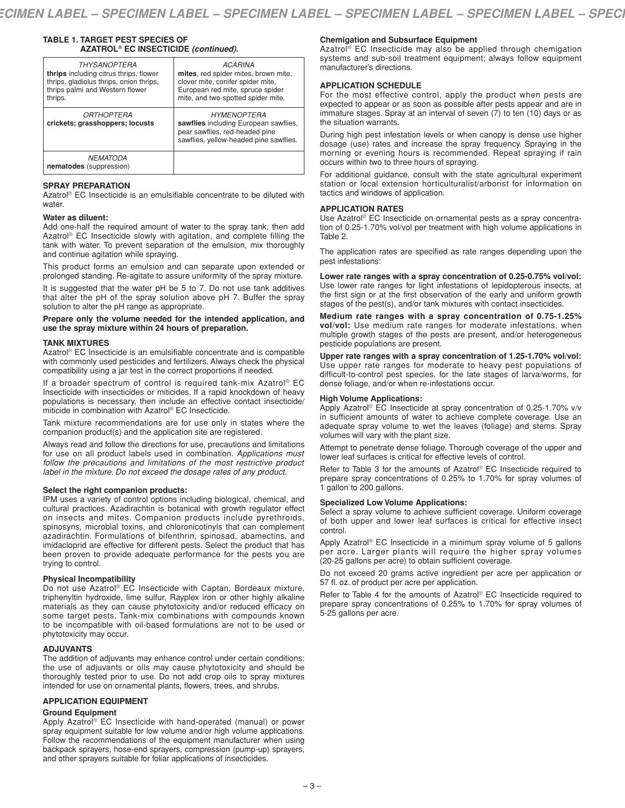# **TABLE 1. TARGET PEST SPECIES OF AZATROL® EC INSECTICIDE** *(continued)***.**

| <b>THYSANOPTERA</b><br>thrips including citrus thrips, flower<br>thrips, gladiolus thrips, onion thrips,<br>thrips palmi and Western flower<br>thrips. | <b>ACARINA</b><br>mites, red spider mites, brown mite,<br>clover mite, conifer spider mite,<br>European red mite, spruce spider<br>mite, and two-spotted spider mite. |
|--------------------------------------------------------------------------------------------------------------------------------------------------------|-----------------------------------------------------------------------------------------------------------------------------------------------------------------------|
| <i><b>ORTHOPTERA</b></i><br>crickets; grasshoppers; locusts                                                                                            | <b>HYMENOPTERA</b><br>sawflies including European sawflies,<br>pear sawflies, red-headed pine<br>sawflies, yellow-headed pine sawflies.                               |
| <b>NEMATODA</b><br>nematodes (suppression)                                                                                                             |                                                                                                                                                                       |

# **SPRAY PREPARATION**

Azatrol ® EC Insecticide is an emulsifiable concentrate to be diluted with water.

### **Water as diluent:**

Add one-half the required amount of water to the spray tank, then add Azatrol ® EC Insecticide slowly with agitation, and complete filling the tank with water. To prevent separation of the emulsion, mix thoroughly and continue agitation while spraying.

This product forms an emulsion and can separate upon extended or prolonged standing. Re-agitate to assure uniformity of the spray mixture.

It is suggested that the water pH be 5 to 7. Do not use tank additives that alter the pH of the spray solution above pH 7. Buffer the spray solution to alter the pH range as appropriate.

**Prepare only the volume needed for the intended application, and use the spray mixture within 24 hours of preparation.**

### **TANK MIXTURES**

Azatrol ® EC Insecticide is an emulsifiable concentrate and is compatible with commonly used pesticides and fertilizers. Always check the physical compatibility using a jar test in the correct proportions if needed.

If a broader spectrum of control is required tank-mix Azatrol ® EC Insecticide with insecticides or miticides. If a rapid knockdown of heavy populations is necessary, then include an effective contact insecticide/ miticide in combination with Azatrol ® EC Insecticide.

Tank mixture recommendations are for use only in states where the companion product(s) and the application site are registered.

Always read and follow the directions for use, precautions and limitations for use on all product labels used in combination. *Applications must follow the precautions and limitations of the most restrictive product label in the mixture. Do not exceed the dosage rates of any product.*

#### **Select the right companion products:**

IPM uses a variety of control options including biological, chemical, and cultural practices. Azadirachtin is botanical with growth regulator effect on insects and mites. Companion products include pyrethroids, spinosyns, microbial toxins, and chloronicotinyls that can complement azadirachtin. Formulations of bifenthrin, spinosad, abamectins, and imidacloprid are effective for different pests. Select the product that has been proven to provide adequate performance for the pests you are trying to control.

#### **Physical Incompatibility**

Do not use Azatrol<sup>®</sup> EC Insecticide with Captan, Bordeaux mixture, triphenyltin hydroxide, lime sulfur, Rayplex iron or other highly alkaline materials as they can cause phytotoxicity and/or reduced efficacy on some target pests. Tank-mix combinations with compounds known to be incompatible with oil-based formulations are not to be used or phytotoxicity may occur.

# **ADJUVANTS**

The addition of adjuvants may enhance control under certain conditions; the use of adjuvants or oils may cause phytotoxicity and should be thoroughly tested prior to use. Do not add crop oils to spray mixtures intended for use on ornamental plants, flowers, trees, and shrubs.

# **APPLICATION EQUIPMENT**

# **Ground Equipment**

Apply Azatrol ® EC Insecticide with hand-operated (manual) or power spray equipment suitable for low volume and/or high volume applications. Follow the recommendations of the equipment manufacturer when using backpack sprayers, hose-end sprayers, compression (pump-up) sprayers, and other sprayers suitable for foliar applications of insecticides.

# **Chemigation and Subsurface Equipment**

Azatrol<sup>®</sup> EC Insecticide may also be applied through chemigation systems and sub-soil treatment equipment; always follow equipment manufacturer's directions.

## **APPLICATION SCHEDULE**

For the most effective control, apply the product when pests are expected to appear or as soon as possible after pests appear and are in immature stages. Spray at an interval of seven (7) to ten (10) days or as the situation warrants.

During high pest infestation levels or when canopy is dense use higher dosage (use) rates and increase the spray frequency. Spraying in the morning or evening hours is recommended. Repeat spraying if rain occurs within two to three hours of spraying.

For additional guidance, consult with the state agricultural experiment station or local extension horticulturalist/arborist for information on tactics and windows of application.

# **APPLICATION RATES**

Use Azatrol ® EC Insecticide on ornamental pests as a spray concentration of 0.25-1.70% vol/vol per treatment with high volume applications in Table 2.

The application rates are specified as rate ranges depending upon the pest infestations:

**Lower rate ranges with a spray concentration of 0.25-0.75% vol/vol:** Use lower rate ranges for light infestations of lepidopterous insects, at the first sign or at the first observation of the early and uniform growth stages of the pest(s), and/or tank mixtures with contact insecticides.

**Medium rate ranges with a spray concentration of 0.75-1.25% vol/vol:** Use medium rate ranges for moderate infestations, when multiple growth stages of the pests are present, and/or heterogeneous pesticide populations are present.

**Upper rate ranges with a spray concentration of 1.25-1.70% vol/vol:** Use upper rate ranges for moderate to heavy pest populations of difficult-to-control pest species, for the late stages of larva/worms, for dense foliage, and/or when re-infestations occur.

#### **High Volume Applications:**

Apply Azatrol ® EC Insecticide at spray concentration of 0.25-1.70% v/v in sufficient amounts of water to achieve complete coverage. Use an adequate spray volume to wet the leaves (foliage) and stems. Spray volumes will vary with the plant size.

Attempt to penetrate dense foliage. Thorough coverage of the upper and lower leaf surfaces is critical for effective levels of control.

Refer to Table 3 for the amounts of Azatrol® EC Insecticide required to prepare spray concentrations of 0.25% to 1.70% for spray volumes of 1 gallon to 200 gallons.

#### **Specialized Low Volume Applications:**

Select a spray volume to achieve sufficient coverage. Uniform coverage of both upper and lower leaf surfaces is critical for effective insect control.

Apply Azatrol<sup>®</sup> EC Insecticide in a minimum spray volume of 5 gallons per acre. Larger plants will require the higher spray volumes (20-25 gallons per acre) to obtain sufficient coverage.

Do not exceed 20 grams active ingredient per acre per application or 57 fl. oz. of product per acre per application.

Refer to Table 4 for the amounts of Azatrol<sup>®</sup> EC Insecticide required to prepare spray concentrations of 0.25% to 1.70% for spray volumes of 5-25 gallons per acre.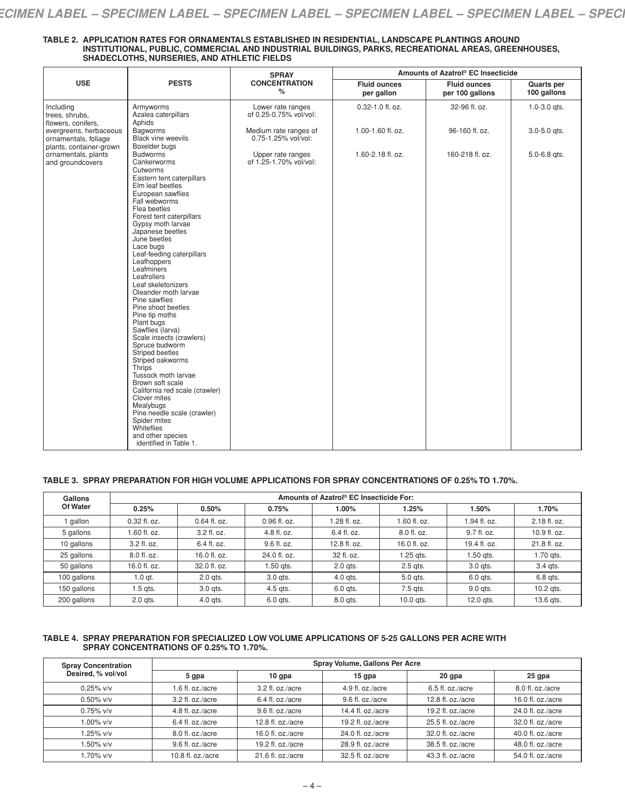| TABLE 2.  APPLICATION RATES FOR ORNAMENTALS ESTABLISHED IN RESIDENTIAL. LANDSCAPE PLANTINGS AROUND  |
|-----------------------------------------------------------------------------------------------------|
| INSTITUTIONAL, PUBLIC, COMMERCIAL AND INDUSTRIAL BUILDINGS, PARKS, RECREATIONAL AREAS, GREENHOUSES, |
| SHADECLOTHS. NURSERIES. AND ATHLETIC FIELDS                                                         |

|                                                                    |                                                                                                                                                                                                                                                                                                                                                                                                                                                                                                                                                                                                                                                                                                                                                                                                             | <b>SPRAY</b>                                 |                                   | Amounts of Azatrol® EC Insecticide     |                           |
|--------------------------------------------------------------------|-------------------------------------------------------------------------------------------------------------------------------------------------------------------------------------------------------------------------------------------------------------------------------------------------------------------------------------------------------------------------------------------------------------------------------------------------------------------------------------------------------------------------------------------------------------------------------------------------------------------------------------------------------------------------------------------------------------------------------------------------------------------------------------------------------------|----------------------------------------------|-----------------------------------|----------------------------------------|---------------------------|
| <b>USE</b>                                                         | <b>PESTS</b>                                                                                                                                                                                                                                                                                                                                                                                                                                                                                                                                                                                                                                                                                                                                                                                                | <b>CONCENTRATION</b><br>%                    | <b>Fluid ounces</b><br>per gallon | <b>Fluid ounces</b><br>per 100 gallons | Quarts per<br>100 gallons |
| Including<br>trees, shrubs,<br>flowers, conifers,                  | Armyworms<br>Azalea caterpillars<br>Aphids                                                                                                                                                                                                                                                                                                                                                                                                                                                                                                                                                                                                                                                                                                                                                                  | Lower rate ranges<br>of 0.25-0.75% vol/vol:  | 0.32-1.0 fl. oz.                  | 32-96 fl. oz.                          | $1.0 - 3.0$ qts.          |
| evergreens, herbaceous<br>ornamentals, foliage                     | <b>Bagworms</b><br><b>Black vine weevils</b>                                                                                                                                                                                                                                                                                                                                                                                                                                                                                                                                                                                                                                                                                                                                                                | Medium rate ranges of<br>0.75-1.25% vol/vol: | 1.00-1.60 fl. oz.                 | 96-160 fl. oz.                         | $3.0 - 5.0$ qts.          |
| plants, container-grown<br>ornamentals, plants<br>and groundcovers | Boxelder bugs<br><b>Budworms</b><br>Cankerworms<br>Cutworms<br>Eastern tent caterpillars<br>Elm leaf beetles<br>European sawflies<br>Fall webworms<br>Flea beetles<br>Forest tent caterpillars<br>Gypsy moth larvae<br>Japanese beetles<br>June beetles<br>Lace bugs<br>Leaf-feeding caterpillars<br>Leafhoppers<br>Leafminers<br>Leafrollers<br>Leaf skeletonizers<br>Oleander moth larvae<br>Pine sawflies<br>Pine shoot beetles<br>Pine tip moths<br>Plant bugs<br>Sawflies (larva)<br>Scale insects (crawlers)<br>Spruce budworm<br>Striped beetles<br>Striped oakworms<br>Thrips<br>Tussock moth larvae<br>Brown soft scale<br>California red scale (crawler)<br>Clover mites<br>Mealybugs<br>Pine needle scale (crawler)<br>Spider mites<br>Whiteflies<br>and other species<br>identified in Table 1. | Upper rate ranges<br>of 1.25-1.70% vol/vol:  | 1.60-2.18 fl. oz.                 | 160-218 fl. oz.                        | 5.0-6.8 qts.              |

# **TABLE 3. SPRAY PREPARATION FOR HIGH VOLUME APPLICATIONS FOR SPRAY CONCENTRATIONS OF 0.25% TO 1.70%.**

| Gallons     | Amounts of Azatrol® EC Insecticide For: |              |              |              |              |              |              |  |
|-------------|-----------------------------------------|--------------|--------------|--------------|--------------|--------------|--------------|--|
| Of Water    | 0.25%                                   | 0.50%        | 0.75%        | 1.00%        | 1.25%        | 1.50%        | 1.70%        |  |
| gallon      | 0.32 fl. oz.                            | 0.64 fl. oz. | 0.96 fl. oz. | 1.28 fl. oz. | 1.60 fl. oz. | 1.94 fl. oz. | 2.18 fl. oz. |  |
| 5 gallons   | .60 fl. oz.                             | 3.2 fl. oz.  | 4.8 fl. oz.  | 6.4 fl. oz.  | 8.0 fl. oz.  | 9.7 fl. oz.  | 10.9 fl. oz. |  |
| 10 gallons  | 3.2 fl. oz.                             | 6.4 fl. oz.  | 9.6 fl. oz.  | 12.8 fl. oz. | 16.0 fl. oz. | 19.4 fl. oz. | 21.8 fl. oz. |  |
| 25 gallons  | 8.0 fl. oz.                             | 16.0 fl. oz. | 24.0 fl. oz. | 32 fl. oz.   | 1.25 gts.    | 1.50 ats.    | 1.70 gts.    |  |
| 50 gallons  | 16.0 fl. oz.                            | 32.0 fl. oz. | 1.50 ats.    | $2.0$ ats.   | 2.5 ats.     | 3.0 gts.     | 3.4 gts.     |  |
| 100 gallons | $1.0$ qt.                               | $2.0$ ats.   | 3.0 gts.     | 4.0 gts.     | 5.0 ats.     | 6.0 gts.     | 6.8 gts.     |  |
| 150 gallons | .5 ats.                                 | 3.0 gts.     | 4.5 gts.     | 6.0 gts.     | 7.5 gts.     | 9.0 gts.     | $10.2$ ats.  |  |
| 200 gallons | $2.0$ ats.                              | 4.0 gts.     | 6.0 gts.     | 8.0 gts.     | $10.0$ ats.  | 12.0 gts.    | 13.6 gts.    |  |

#### **TABLE 4. SPRAY PREPARATION FOR SPECIALIZED LOW VOLUME APPLICATIONS OF 5-25 GALLONS PER ACRE WITH SPRAY CONCENTRATIONS OF 0.25% TO 1.70%.**

| <b>Spray Concentration</b> | Spray Volume, Gallons Per Acre |                    |                    |                      |                   |  |  |
|----------------------------|--------------------------------|--------------------|--------------------|----------------------|-------------------|--|--|
| Desired, % vol/vol         | 5 qpa                          | $10$ gpa           | $15$ qpa           | 20 gpa               | $25$ gpa          |  |  |
| $0.25\%$ v/v               | 1.6 fl. oz./acre               | 3.2 fl. oz./acre   | 4.9 fl. oz./acre   | 6.5 fl. oz./acre     | 8.0 fl. oz./acre  |  |  |
| $0.50\%$ v/v               | 3.2 fl. oz./acre               | 6.4 fl. oz./acre   | 9.6 fl. oz./acre   | 12.8 fl. $oz$ ./acre | 16.0 fl. oz./acre |  |  |
| $0.75\%$ v/v               | 4.8 fl. oz./acre               | 9.6 fl. oz./acre   | 14.4 fl. $oz/acre$ | 19.2 fl. oz./acre    | 24.0 fl. oz./acre |  |  |
| 1.00% v/v                  | $6.4$ fl. oz./acre             | 12.8 fl. $oz/acre$ | 19.2 fl. $oz/acre$ | $25.5$ fl. oz./acre  | 32.0 fl. oz./acre |  |  |
| 1.25% v/v                  | 8.0 fl. oz./acre               | 16.0 fl. $oz/acre$ | 24.0 fl. oz./acre  | 32.0 fl. oz./acre    | 40.0 fl. oz./acre |  |  |
| $1.50\%$ v/v               | 9.6 fl. oz./acre               | 19.2 fl. $oz/acre$ | 28.9 fl. oz./acre  | 38.5 fl. oz./acre    | 48.0 fl. oz./acre |  |  |
| 1.70% v/v                  | 10.8 fl. $oz$ ./acre           | 21.6 fl. oz./acre  | 32.5 fl. oz./acre  | 43.3 fl. oz./acre    | 54.0 fl. oz./acre |  |  |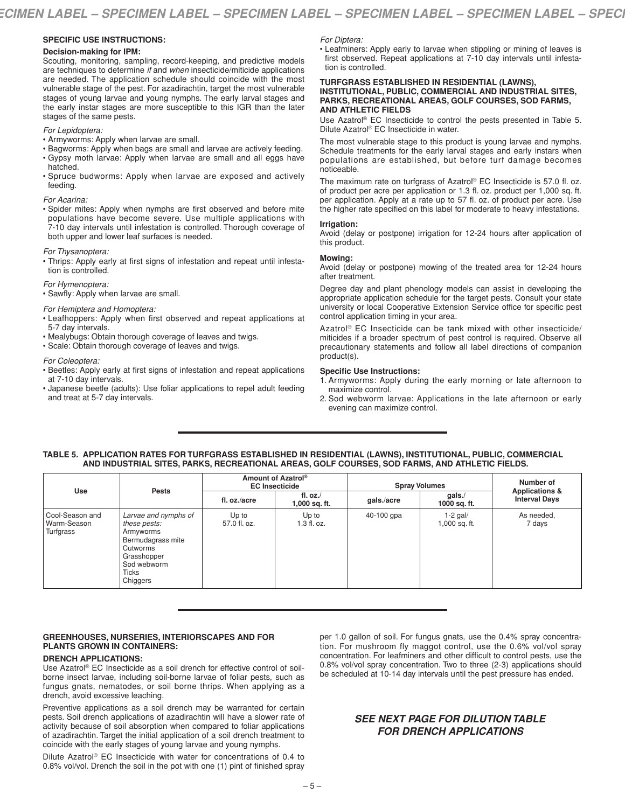## **SPECIFIC USE INSTRUCTIONS:**

#### **Decision-making for IPM:**

Scouting, monitoring, sampling, record-keeping, and predictive models are techniques to determine *if* and *when* insecticide/miticide applications are needed. The application schedule should coincide with the most vulnerable stage of the pest. For azadirachtin, target the most vulnerable stages of young larvae and young nymphs. The early larval stages and the early instar stages are more susceptible to this IGR than the later stages of the same pests.

### *For Lepidoptera:*

- Armyworms: Apply when larvae are small.
- Bagworms: Apply when bags are small and larvae are actively feeding. • Gypsy moth larvae: Apply when larvae are small and all eggs have
- hatched. • Spruce budworms: Apply when larvae are exposed and actively feeding.

#### *For Acarina:*

• Spider mites: Apply when nymphs are first observed and before mite populations have become severe. Use multiple applications with 7-10 day intervals until infestation is controlled. Thorough coverage of both upper and lower leaf surfaces is needed.

#### *For Thysanoptera:*

• Thrips: Apply early at first signs of infestation and repeat until infestation is controlled.

#### *For Hymenoptera:*

• Sawfly: Apply when larvae are small.

#### *For Hemiptera and Homoptera:*

- Leafhoppers: Apply when first observed and repeat applications at 5-7 day intervals.
- Mealybugs: Obtain thorough coverage of leaves and twigs.
- Scale: Obtain thorough coverage of leaves and twigs.

#### *For Coleoptera:*

- Beetles: Apply early at first signs of infestation and repeat applications at 7-10 day intervals.
- Japanese beetle (adults): Use foliar applications to repel adult feeding and treat at 5-7 day intervals.

# *For Diptera:*

• Leafminers: Apply early to larvae when stippling or mining of leaves is first observed. Repeat applications at 7-10 day intervals until infestation is controlled.

#### **TURFGRASS ESTABLISHED IN RESIDENTIAL (LAWNS), INSTITUTIONAL, PUBLIC, COMMERCIAL AND INDUSTRIAL SITES, PARKS, RECREATIONAL AREAS, GOLF COURSES, SOD FARMS, AND ATHLETIC FIELDS**

Use Azatrol ® EC Insecticide to control the pests presented in Table 5. Dilute Azatrol ® EC Insecticide in water.

The most vulnerable stage to this product is young larvae and nymphs. Schedule treatments for the early larval stages and early instars when populations are established, but before turf damage becomes noticeable.

The maximum rate on turfgrass of Azatrol® EC Insecticide is 57.0 fl. oz. of product per acre per application or 1.3 fl. oz. product per 1,000 sq. ft. per application. Apply at a rate up to 57 fl. oz. of product per acre. Use the higher rate specified on this label for moderate to heavy infestations.

#### **Irrigation:**

Avoid (delay or postpone) irrigation for 12-24 hours after application of this product.

# **Mowing:**

Avoid (delay or postpone) mowing of the treated area for 12-24 hours after treatment.

Degree day and plant phenology models can assist in developing the appropriate application schedule for the target pests. Consult your state university or local Cooperative Extension Service office for specific pest control application timing in your area.

Azatrol ® EC Insecticide can be tank mixed with other insecticide/ miticides if a broader spectrum of pest control is required. Observe all precautionary statements and follow all label directions of companion product(s).

## **Specific Use Instructions:**

- 1. Armyworms: Apply during the early morning or late afternoon to maximize control.
- 2. Sod webworm larvae: Applications in the late afternoon or early evening can maximize control.

# **TABLE 5. APPLICATION RATES FOR TURFGRASS ESTABLISHED IN RESIDENTIAL (LAWNS), INSTITUTIONAL, PUBLIC, COMMERCIAL AND INDUSTRIAL SITES, PARKS, RECREATIONAL AREAS, GOLF COURSES, SOD FARMS, AND ATHLETIC FIELDS.**

| Use                                           | <b>Pests</b>                                                                                                                                 | Amount of Azatrol <sup>®</sup><br><b>EC Insecticide</b> |                             | <b>Spray Volumes</b> |                              | Number of                                         |
|-----------------------------------------------|----------------------------------------------------------------------------------------------------------------------------------------------|---------------------------------------------------------|-----------------------------|----------------------|------------------------------|---------------------------------------------------|
|                                               |                                                                                                                                              | fl. oz./acre                                            | fl. $oz$ .<br>1,000 sq. ft. | gals./acre           | $g$ als. $/$<br>1000 sq. ft. | <b>Applications &amp;</b><br><b>Interval Days</b> |
| l Cool-Season and<br>Warm-Season<br>Turfgrass | Larvae and nymphs of<br>these pests:<br>Armyworms<br>Bermudagrass mite<br>Cutworms<br>Grasshopper<br>Sod webworm<br><b>Ticks</b><br>Chiggers | Up to<br>57.0 fl. oz.                                   | Up to<br>$1.3$ fl. oz.      | 40-100 gpa           | $1-2$ gal/<br>1,000 sq. ft.  | As needed,<br>7 days                              |

### **GREENHOUSES, NURSERIES, INTERIORSCAPES AND FOR PLANTS GROWN IN CONTAINERS:**

#### **DRENCH APPLICATIONS:**

Use Azatrol ® EC Insecticide as a soil drench for effective control of soilborne insect larvae, including soil-borne larvae of foliar pests, such as fungus gnats, nematodes, or soil borne thrips. When applying as a drench, avoid excessive leaching.

Preventive applications as a soil drench may be warranted for certain pests. Soil drench applications of azadirachtin will have a slower rate of activity because of soil absorption when compared to foliar applications of azadirachtin. Target the initial application of a soil drench treatment to coincide with the early stages of young larvae and young nymphs.

Dilute Azatrol ® EC Insecticide with water for concentrations of 0.4 to 0.8% vol/vol. Drench the soil in the pot with one (1) pint of finished spray per 1.0 gallon of soil. For fungus gnats, use the 0.4% spray concentration. For mushroom fly maggot control, use the 0.6% vol/vol spray concentration. For leafminers and other difficult to control pests, use the 0.8% vol/vol spray concentration. Two to three (2-3) applications should be scheduled at 10-14 day intervals until the pest pressure has ended.

# *SEE NEXT PAGE FOR DILUTION TABLE FOR DRENCH APPLICATIONS*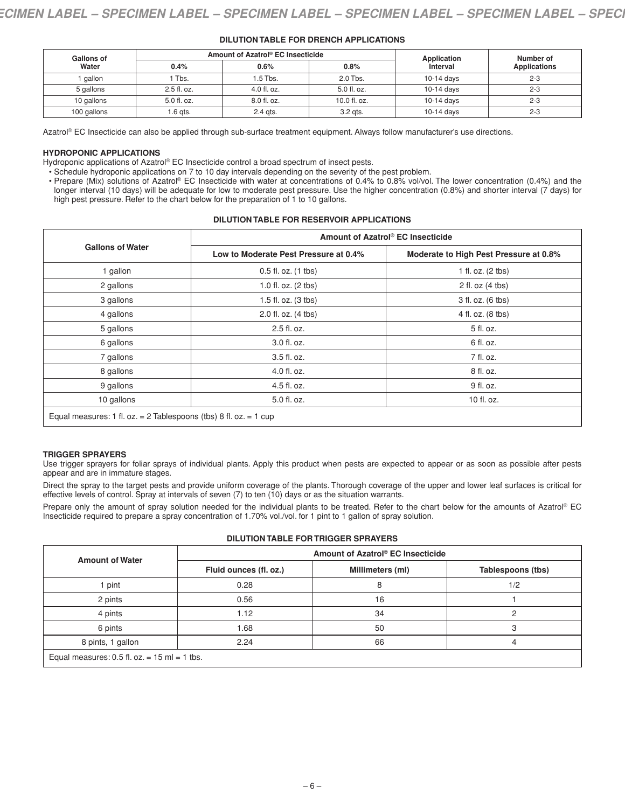| <b>Gallons of</b><br>Water |             | Amount of Azatrol® EC Insecticide | Application   | Number of  |                     |
|----------------------------|-------------|-----------------------------------|---------------|------------|---------------------|
|                            | 0.4%        | 0.6%                              | 0.8%          | Interval   | <b>Applications</b> |
| gallon                     | 1 Tbs.      | 1.5 Tbs.                          | 2.0 Tbs.      | 10-14 days | $2 - 3$             |
| 5 gallons                  | 2.5 fl. oz. | $4.0$ fl. oz.                     | $5.0$ fl. oz. | 10-14 days | $2 - 3$             |
| 10 gallons                 | 5.0 fl. oz. | 8.0 fl. oz.                       | 10.0 fl. oz.  | 10-14 days | $2 - 3$             |
| 100 gallons                | 1.6 qts.    | 2.4 gts.                          | 3.2 gts.      | 10-14 days | $2 - 3$             |

## **DILUTION TABLE FOR DRENCH APPLICATIONS**

Azatrol® EC Insecticide can also be applied through sub-surface treatment equipment. Always follow manufacturer's use directions.

### **HYDROPONIC APPLICATIONS**

Hydroponic applications of Azatrol® EC Insecticide control a broad spectrum of insect pests.

• Schedule hydroponic applications on 7 to 10 day intervals depending on the severity of the pest problem.

• Prepare (Mix) solutions of Azatrol® EC Insecticide with water at concentrations of 0.4% to 0.8% vol/vol. The lower concentration (0.4%) and the longer interval (10 days) will be adequate for low to moderate pest pressure. Use the higher concentration (0.8%) and shorter interval (7 days) for high pest pressure. Refer to the chart below for the preparation of 1 to 10 gallons.

# **DILUTION TABLE FOR RESERVOIR APPLICATIONS**

|                                                                   | Amount of Azatrol® EC Insecticide     |                                        |  |  |  |  |
|-------------------------------------------------------------------|---------------------------------------|----------------------------------------|--|--|--|--|
| <b>Gallons of Water</b>                                           | Low to Moderate Pest Pressure at 0.4% | Moderate to High Pest Pressure at 0.8% |  |  |  |  |
| 1 gallon                                                          | 0.5 fl. oz. (1 tbs)                   | 1 fl. oz. (2 tbs)                      |  |  |  |  |
| 2 gallons                                                         | 1.0 fl. oz. (2 tbs)                   | 2 fl. oz (4 tbs)                       |  |  |  |  |
| 3 gallons                                                         | 1.5 fl. oz. (3 tbs)                   | 3 fl. oz. (6 tbs)                      |  |  |  |  |
| 4 gallons                                                         | 2.0 fl. oz. (4 tbs)                   | 4 fl. oz. (8 tbs)                      |  |  |  |  |
| 5 gallons                                                         | 2.5 fl. oz.                           | 5 fl. oz.                              |  |  |  |  |
| 6 gallons                                                         | 3.0 fl. oz.                           | 6 fl. oz.                              |  |  |  |  |
| 7 gallons                                                         | 3.5 fl. oz.                           | 7 fl. oz.                              |  |  |  |  |
| 8 gallons                                                         | 4.0 fl. oz.                           | 8 fl. oz.                              |  |  |  |  |
| 9 gallons                                                         | 4.5 fl. oz.                           | 9 fl. oz.                              |  |  |  |  |
| 10 gallons                                                        | 5.0 fl. oz.                           | 10 fl. oz.                             |  |  |  |  |
| Equal measures: 1 fl. oz. = 2 Tablespoons (tbs) 8 fl. oz. = 1 cup |                                       |                                        |  |  |  |  |

#### **TRIGGER SPRAYERS**

Use trigger sprayers for foliar sprays of individual plants. Apply this product when pests are expected to appear or as soon as possible after pests appear and are in immature stages.

Direct the spray to the target pests and provide uniform coverage of the plants. Thorough coverage of the upper and lower leaf surfaces is critical for effective levels of control. Spray at intervals of seven (7) to ten (10) days or as the situation warrants.

Prepare only the amount of spray solution needed for the individual plants to be treated. Refer to the chart below for the amounts of Azatrol® EC Insecticide required to prepare a spray concentration of 1.70% vol./vol. for 1 pint to 1 gallon of spray solution.

| <b>Amount of Water</b>                          | Amount of Azatrol® EC Insecticide |                  |                   |  |  |  |
|-------------------------------------------------|-----------------------------------|------------------|-------------------|--|--|--|
|                                                 | Fluid ounces (fl. oz.)            | Millimeters (ml) | Tablespoons (tbs) |  |  |  |
| pint                                            | 0.28                              | 8                | 1/2               |  |  |  |
| 2 pints                                         | 0.56                              | 16               |                   |  |  |  |
| 4 pints                                         | 1.12                              | 34               |                   |  |  |  |
| 6 pints                                         | 1.68                              | 50               |                   |  |  |  |
| 8 pints, 1 gallon                               | 2.24                              | 66               |                   |  |  |  |
| Equal measures: $0.5$ fl. $oz = 15$ ml = 1 tbs. |                                   |                  |                   |  |  |  |

# **DILUTION TABLE FOR TRIGGER SPRAYERS**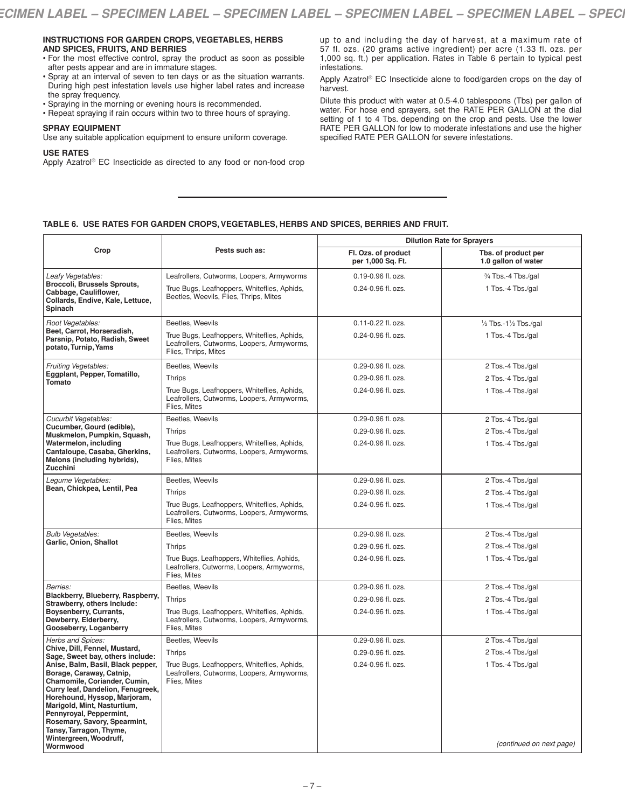### **INSTRUCTIONS FOR GARDEN CROPS,VEGETABLES, HERBS AND SPICES, FRUITS, AND BERRIES**

- For the most effective control, spray the product as soon as possible after pests appear and are in immature stages.
- Spray at an interval of seven to ten days or as the situation warrants. During high pest infestation levels use higher label rates and increase the spray frequency.
- Spraying in the morning or evening hours is recommended.
- Repeat spraying if rain occurs within two to three hours of spraying.

# **SPRAY EQUIPMENT**

Use any suitable application equipment to ensure uniform coverage.

#### **USE RATES**

Apply Azatrol ® EC Insecticide as directed to any food or non-food crop

up to and including the day of harvest, at a maximum rate of 57 fl. ozs. (20 grams active ingredient) per acre (1.33 fl. ozs. per 1,000 sq. ft.) per application. Rates in Table 6 pertain to typical pest infestations.

Apply Azatrol ® EC Insecticide alone to food/garden crops on the day of harvest.

Dilute this product with water at 0.5-4.0 tablespoons (Tbs) per gallon of water. For hose end sprayers, set the RATE PER GALLON at the dial setting of 1 to 4 Tbs. depending on the crop and pests. Use the lower RATE PER GALLON for low to moderate infestations and use the higher specified RATE PER GALLON for severe infestations.

# **TABLE 6. USE RATES FOR GARDEN CROPS,VEGETABLES, HERBS AND SPICES, BERRIES AND FRUIT.**

| Crop                                                                                                                                                                                                                                                                                                                                                                              | Pests such as:                                                                                                    | <b>Dilution Rate for Sprayers</b>        |                                            |
|-----------------------------------------------------------------------------------------------------------------------------------------------------------------------------------------------------------------------------------------------------------------------------------------------------------------------------------------------------------------------------------|-------------------------------------------------------------------------------------------------------------------|------------------------------------------|--------------------------------------------|
|                                                                                                                                                                                                                                                                                                                                                                                   |                                                                                                                   | Fl. Ozs. of product<br>per 1,000 Sq. Ft. | Tbs. of product per<br>1.0 gallon of water |
| Leafy Vegetables:<br><b>Broccoli, Brussels Sprouts,</b><br>Cabbage, Cauliflower,<br>Collards, Endive, Kale, Lettuce,<br>Spinach                                                                                                                                                                                                                                                   | Leafrollers, Cutworms, Loopers, Armyworms                                                                         | 0.19-0.96 fl. ozs.                       | 3/4 Tbs.-4 Tbs./gal                        |
|                                                                                                                                                                                                                                                                                                                                                                                   | True Bugs, Leafhoppers, Whiteflies, Aphids,<br>Beetles, Weevils, Flies, Thrips, Mites                             | 0.24-0.96 fl. ozs.                       | 1 Tbs.-4 Tbs./gal                          |
| Root Vegetables:<br>Beet, Carrot, Horseradish,<br>Parsnip, Potato, Radish, Sweet<br>potato, Turnip, Yams                                                                                                                                                                                                                                                                          | Beetles, Weevils                                                                                                  | 0.11-0.22 fl. ozs.                       | 1/2 Tbs.-11/2 Tbs./gal                     |
|                                                                                                                                                                                                                                                                                                                                                                                   | True Bugs, Leafhoppers, Whiteflies, Aphids,<br>Leafrollers, Cutworms, Loopers, Armyworms,<br>Flies, Thrips, Mites | 0.24-0.96 fl. ozs.                       | 1 Tbs.-4 Tbs./gal                          |
| Fruiting Vegetables:<br>Eggplant, Pepper, Tomatillo,<br>Tomato                                                                                                                                                                                                                                                                                                                    | Beetles, Weevils                                                                                                  | 0.29-0.96 fl. ozs.                       | 2 Tbs.-4 Tbs./gal                          |
|                                                                                                                                                                                                                                                                                                                                                                                   | Thrips                                                                                                            | 0.29-0.96 fl. ozs.                       | 2 Tbs.-4 Tbs./gal                          |
|                                                                                                                                                                                                                                                                                                                                                                                   | True Bugs, Leafhoppers, Whiteflies, Aphids,<br>Leafrollers, Cutworms, Loopers, Armyworms,<br>Flies. Mites         | 0.24-0.96 fl. ozs.                       | 1 Tbs.-4 Tbs./gal                          |
| Cucurbit Vegetables:<br>Cucumber, Gourd (edible),<br>Muskmelon, Pumpkin, Squash,<br>Watermelon, including<br>Cantaloupe, Casaba, Gherkins,<br>Melons (including hybrids),<br>Zucchini                                                                                                                                                                                             | Beetles, Weevils                                                                                                  | 0.29-0.96 fl. ozs.                       | 2 Tbs.-4 Tbs./gal                          |
|                                                                                                                                                                                                                                                                                                                                                                                   | Thrips                                                                                                            | 0.29-0.96 fl. ozs.                       | 2 Tbs.-4 Tbs./gal                          |
|                                                                                                                                                                                                                                                                                                                                                                                   | True Bugs, Leafhoppers, Whiteflies, Aphids,<br>Leafrollers, Cutworms, Loopers, Armyworms,<br>Flies, Mites         | 0.24-0.96 fl. ozs.                       | 1 Tbs.-4 Tbs./gal                          |
| Legume Vegetables:                                                                                                                                                                                                                                                                                                                                                                | Beetles, Weevils                                                                                                  | 0.29-0.96 fl. ozs.                       | 2 Tbs.-4 Tbs./gal                          |
| Bean, Chickpea, Lentil, Pea                                                                                                                                                                                                                                                                                                                                                       | Thrips                                                                                                            | 0.29-0.96 fl. ozs.                       | 2 Tbs.-4 Tbs./gal                          |
|                                                                                                                                                                                                                                                                                                                                                                                   | True Bugs, Leafhoppers, Whiteflies, Aphids,<br>Leafrollers, Cutworms, Loopers, Armyworms,<br>Flies, Mites         | 0.24-0.96 fl. ozs.                       | 1 Tbs.-4 Tbs./gal                          |
| <b>Bulb Vegetables:</b>                                                                                                                                                                                                                                                                                                                                                           | Beetles, Weevils                                                                                                  | 0.29-0.96 fl. ozs.                       | 2 Tbs.-4 Tbs./gal                          |
| Garlic, Onion, Shallot                                                                                                                                                                                                                                                                                                                                                            | Thrips                                                                                                            | 0.29-0.96 fl. ozs.                       | 2 Tbs.-4 Tbs./gal                          |
|                                                                                                                                                                                                                                                                                                                                                                                   | True Bugs, Leafhoppers, Whiteflies, Aphids,<br>Leafrollers, Cutworms, Loopers, Armyworms,<br>Flies, Mites         | 0.24-0.96 fl. ozs.                       | 1 Tbs.-4 Tbs./gal                          |
| Berries:<br>Blackberry, Blueberry, Raspberry,<br>Strawberry, others include:<br>Boysenberry, Currants,<br>Dewberry, Elderberry,<br>Gooseberry, Loganberry                                                                                                                                                                                                                         | Beetles, Weevils                                                                                                  | 0.29-0.96 fl. ozs.                       | 2 Tbs.-4 Tbs./gal                          |
|                                                                                                                                                                                                                                                                                                                                                                                   | Thrips                                                                                                            | 0.29-0.96 fl. ozs.                       | 2 Tbs.-4 Tbs./gal                          |
|                                                                                                                                                                                                                                                                                                                                                                                   | True Bugs, Leafhoppers, Whiteflies, Aphids,<br>Leafrollers, Cutworms, Loopers, Armyworms,<br>Flies. Mites         | 0.24-0.96 fl. ozs.                       | 1 Tbs.-4 Tbs./gal                          |
| Herbs and Spices:<br>Chive, Dill, Fennel, Mustard,<br>Sage, Sweet bay, others include:<br>Anise, Balm, Basil, Black pepper,<br>Borage, Caraway, Catnip,<br>Chamomile, Coriander, Cumin,<br>Curry leaf, Dandelion, Fenugreek,<br>Horehound, Hyssop, Marjoram,<br>Marigold, Mint, Nasturtium,<br>Pennyroyal, Peppermint,<br>Rosemary, Savory, Spearmint,<br>Tansy, Tarragon, Thyme, | Beetles, Weevils                                                                                                  | 0.29-0.96 fl. ozs.                       | 2 Tbs.-4 Tbs./gal                          |
|                                                                                                                                                                                                                                                                                                                                                                                   | Thrips                                                                                                            | 0.29-0.96 fl. ozs.                       | 2 Tbs.-4 Tbs./gal                          |
|                                                                                                                                                                                                                                                                                                                                                                                   | True Bugs, Leafhoppers, Whiteflies, Aphids,<br>Leafrollers, Cutworms, Loopers, Armyworms,<br>Flies. Mites         | 0.24-0.96 fl. ozs.                       | 1 Tbs.-4 Tbs./gal                          |
| Wintergreen, Woodruff,<br>Wormwood                                                                                                                                                                                                                                                                                                                                                |                                                                                                                   |                                          | (continued on next page)                   |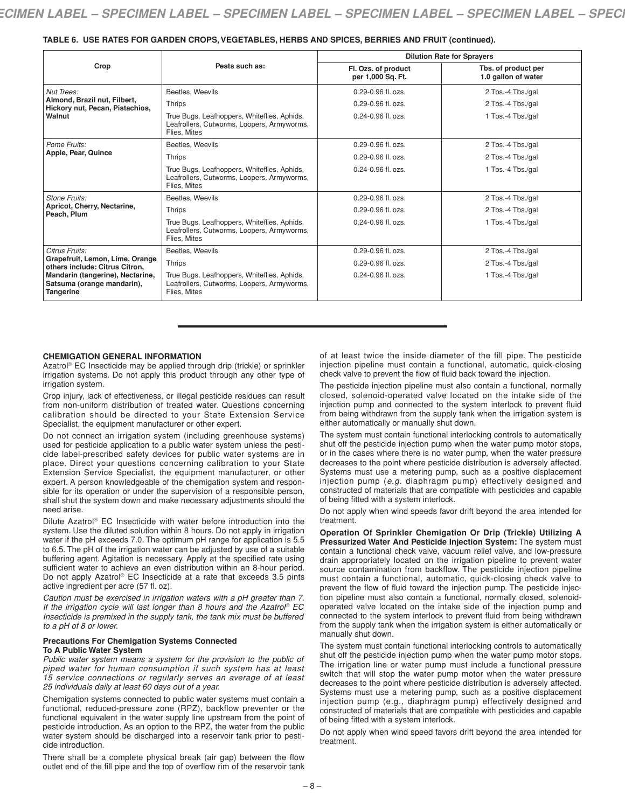### **TABLE 6. USE RATES FOR GARDEN CROPS,VEGETABLES, HERBS AND SPICES, BERRIES AND FRUIT (continued).**

| Crop                                                                                                                                                               | Pests such as:                                                                                            | <b>Dilution Rate for Sprayers</b>        |                                            |
|--------------------------------------------------------------------------------------------------------------------------------------------------------------------|-----------------------------------------------------------------------------------------------------------|------------------------------------------|--------------------------------------------|
|                                                                                                                                                                    |                                                                                                           | Fl. Ozs. of product<br>per 1,000 Sq. Ft. | Tbs. of product per<br>1.0 gallon of water |
| Nut Trees:<br>Almond, Brazil nut, Filbert,<br>Hickory nut, Pecan, Pistachios,<br>Walnut                                                                            | Beetles, Weevils                                                                                          | $0.29 - 0.96$ fl. ozs.                   | 2 Tbs.-4 Tbs./gal                          |
|                                                                                                                                                                    | Thrips                                                                                                    | $0.29 - 0.96$ fl. ozs.                   | 2 Tbs.-4 Tbs./gal                          |
|                                                                                                                                                                    | True Bugs, Leafhoppers, Whiteflies, Aphids,<br>Leafrollers, Cutworms, Loopers, Armyworms,<br>Flies. Mites | $0.24 - 0.96$ fl. ozs.                   | 1 Tbs.-4 Tbs./gal                          |
| Pome Fruits:<br>Apple, Pear, Quince                                                                                                                                | Beetles, Weevils                                                                                          | $0.29 - 0.96$ fl. ozs.                   | 2 Tbs.-4 Tbs./gal                          |
|                                                                                                                                                                    | Thrips                                                                                                    | $0.29 - 0.96$ fl. ozs.                   | 2 Tbs.-4 Tbs./gal                          |
|                                                                                                                                                                    | True Bugs, Leafhoppers, Whiteflies, Aphids,<br>Leafrollers, Cutworms, Loopers, Armyworms,<br>Flies, Mites | $0.24 - 0.96$ fl. ozs.                   | 1 Tbs.-4 Tbs./gal                          |
| Stone Fruits:<br>Apricot, Cherry, Nectarine,<br>Peach, Plum                                                                                                        | Beetles, Weevils                                                                                          | $0.29 - 0.96$ fl. ozs.                   | 2 Tbs.-4 Tbs./gal                          |
|                                                                                                                                                                    | Thrips                                                                                                    | $0.29 - 0.96$ fl. ozs.                   | 2 Tbs.-4 Tbs./gal                          |
|                                                                                                                                                                    | True Bugs, Leafhoppers, Whiteflies, Aphids,<br>Leafrollers, Cutworms, Loopers, Armyworms,<br>Flies, Mites | $0.24 - 0.96$ fl. ozs.                   | 1 Tbs.-4 Tbs./gal                          |
| Citrus Fruits:<br>Grapefruit, Lemon, Lime, Orange<br>others include: Citrus Citron,<br>Mandarin (tangerine), Nectarine,<br>Satsuma (orange mandarin),<br>Tangerine | Beetles, Weevils                                                                                          | 0.29-0.96 fl. ozs.                       | 2 Tbs.-4 Tbs./gal                          |
|                                                                                                                                                                    | Thrips                                                                                                    | $0.29 - 0.96$ fl. ozs.                   | 2 Tbs.-4 Tbs./gal                          |
|                                                                                                                                                                    | True Bugs, Leafhoppers, Whiteflies, Aphids,<br>Leafrollers, Cutworms, Loopers, Armyworms,<br>Flies, Mites | $0.24 - 0.96$ fl. ozs.                   | 1 Tbs.-4 Tbs./gal                          |

#### **CHEMIGATION GENERAL INFORMATION**

Azatrol ® EC Insecticide may be applied through drip (trickle) or sprinkler irrigation systems. Do not apply this product through any other type of irrigation system.

Crop injury, lack of effectiveness, or illegal pesticide residues can result from non-uniform distribution of treated water. Questions concerning calibration should be directed to your State Extension Service Specialist, the equipment manufacturer or other expert.

Do not connect an irrigation system (including greenhouse systems) used for pesticide application to a public water system unless the pesticide label-prescribed safety devices for public water systems are in place. Direct your questions concerning calibration to your State Extension Service Specialist, the equipment manufacturer, or other expert. A person knowledgeable of the chemigation system and responsible for its operation or under the supervision of a responsible person, shall shut the system down and make necessary adjustments should the need arise.

Dilute Azatrol ® EC Insecticide with water before introduction into the system. Use the diluted solution within 8 hours. Do not apply in irrigation water if the pH exceeds 7.0. The optimum pH range for application is 5.5 to 6.5. The pH of the irrigation water can be adjusted by use of a suitable buffering agent. Agitation is necessary. Apply at the specified rate using sufficient water to achieve an even distribution within an 8-hour period. Do not apply Azatrol ® EC Insecticide at a rate that exceeds 3.5 pints active ingredient per acre (57 fl. oz).

*Caution must be exercised in irrigation waters with a pH greater than 7. If the irrigation cycle will last longer than 8 hours and the Azatrol ® EC Insecticide is premixed in the supply tank, the tank mix must be buffered to a pH of 8 or lower.*

# **Precautions For Chemigation Systems Connected To A Public Water System**

*Public water system means a system for the provision to the public of piped water for human consumption if such system has at least 15 service connections or regularly serves an average of at least 25 individuals daily at least 60 days out of a year.*

Chemigation systems connected to public water systems must contain a functional, reduced-pressure zone (RPZ), backflow preventer or the functional equivalent in the water supply line upstream from the point of pesticide introduction. As an option to the RPZ, the water from the public water system should be discharged into a reservoir tank prior to pesticide introduction.

There shall be a complete physical break (air gap) between the flow outlet end of the fill pipe and the top of overflow rim of the reservoir tank of at least twice the inside diameter of the fill pipe. The pesticide injection pipeline must contain a functional, automatic, quick-closing check valve to prevent the flow of fluid back toward the injection.

The pesticide injection pipeline must also contain a functional, normally closed, solenoid-operated valve located on the intake side of the injection pump and connected to the system interlock to prevent fluid from being withdrawn from the supply tank when the irrigation system is either automatically or manually shut down.

The system must contain functional interlocking controls to automatically shut off the pesticide injection pump when the water pump motor stops, or in the cases where there is no water pump, when the water pressure decreases to the point where pesticide distribution is adversely affected. Systems must use a metering pump, such as a positive displacement injection pump (*e.g.* diaphragm pump) effectively designed and constructed of materials that are compatible with pesticides and capable of being fitted with a system interlock.

Do not apply when wind speeds favor drift beyond the area intended for treatment.

**Operation Of Sprinkler Chemigation Or Drip (Trickle) Utilizing A Pressurized Water And Pesticide Injection System:** The system must contain a functional check valve, vacuum relief valve, and low-pressure drain appropriately located on the irrigation pipeline to prevent water source contamination from backflow. The pesticide injection pipeline must contain a functional, automatic, quick-closing check valve to prevent the flow of fluid toward the injection pump. The pesticide injection pipeline must also contain a functional, normally closed, solenoidoperated valve located on the intake side of the injection pump and connected to the system interlock to prevent fluid from being withdrawn from the supply tank when the irrigation system is either automatically or manually shut down.

The system must contain functional interlocking controls to automatically shut off the pesticide injection pump when the water pump motor stops. The irrigation line or water pump must include a functional pressure switch that will stop the water pump motor when the water pressure decreases to the point where pesticide distribution is adversely affected. Systems must use a metering pump, such as a positive displacement injection pump (e.g., diaphragm pump) effectively designed and constructed of materials that are compatible with pesticides and capable of being fitted with a system interlock.

Do not apply when wind speed favors drift beyond the area intended for treatment.